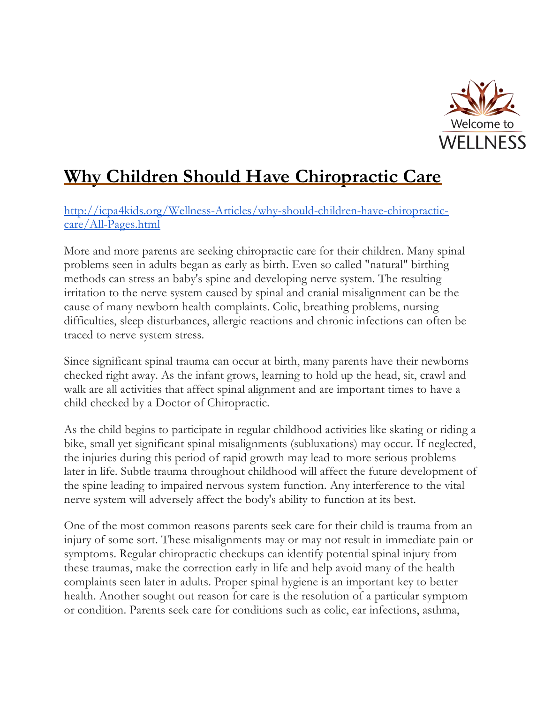

## **Why Children Should Have Chiropractic Care**

[http://icpa4kids.org/Wellness-Articles/why-should-children-have-chiropractic](http://icpa4kids.org/Wellness-Articles/why-should-children-have-chiropractic-care/All-Pages.html)[care/All-Pages.html](http://icpa4kids.org/Wellness-Articles/why-should-children-have-chiropractic-care/All-Pages.html) 

More and more parents are seeking chiropractic care for their children. Many spinal problems seen in adults began as early as birth. Even so called "natural" birthing methods can stress an baby's spine and developing nerve system. The resulting irritation to the nerve system caused by spinal and cranial misalignment can be the cause of many newborn health complaints. Colic, breathing problems, nursing difficulties, sleep disturbances, allergic reactions and chronic infections can often be traced to nerve system stress.

Since significant spinal trauma can occur at birth, many parents have their newborns checked right away. As the infant grows, learning to hold up the head, sit, crawl and walk are all activities that affect spinal alignment and are important times to have a child checked by a Doctor of Chiropractic.

As the child begins to participate in regular childhood activities like skating or riding a bike, small yet significant spinal misalignments (subluxations) may occur. If neglected, the injuries during this period of rapid growth may lead to more serious problems later in life. Subtle trauma throughout childhood will affect the future development of the spine leading to impaired nervous system function. Any interference to the vital nerve system will adversely affect the body's ability to function at its best.

One of the most common reasons parents seek care for their child is trauma from an injury of some sort. These misalignments may or may not result in immediate pain or symptoms. Regular chiropractic checkups can identify potential spinal injury from these traumas, make the correction early in life and help avoid many of the health complaints seen later in adults. Proper spinal hygiene is an important key to better health. Another sought out reason for care is the resolution of a particular symptom or condition. Parents seek care for conditions such as colic, ear infections, asthma,